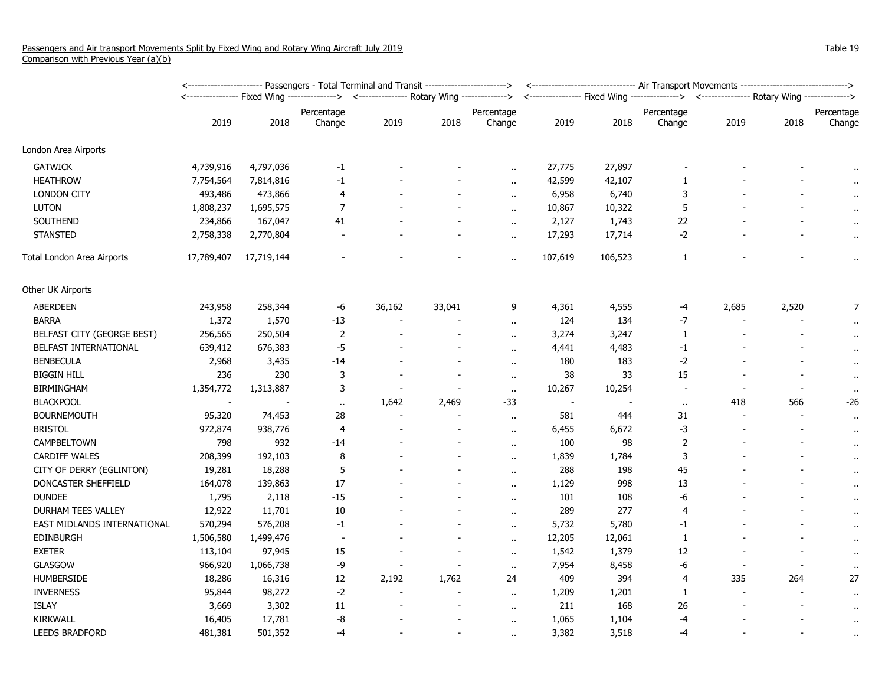|                             | <u>&lt;----------------------- Passengers - Total Terminal and Transit ------------------------&gt;</u> |            |                          |                                             |        |                      |         | <-------------------------------- Air Transport Movements -------------------------------> |                                                                                            |        |       |                      |  |
|-----------------------------|---------------------------------------------------------------------------------------------------------|------------|--------------------------|---------------------------------------------|--------|----------------------|---------|--------------------------------------------------------------------------------------------|--------------------------------------------------------------------------------------------|--------|-------|----------------------|--|
|                             |                                                                                                         |            |                          | <--------------- Rotary Wing -------------> |        |                      |         |                                                                                            | <---------------- Fixed Wing ---------------> <--------------- Rotary Wing --------------> |        |       |                      |  |
|                             | 2019                                                                                                    | 2018       | Percentage<br>Change     | 2019                                        | 2018   | Percentage<br>Change | 2019    | 2018                                                                                       | Percentage<br>Change                                                                       | 2019   | 2018  | Percentage<br>Change |  |
| London Area Airports        |                                                                                                         |            |                          |                                             |        |                      |         |                                                                                            |                                                                                            |        |       |                      |  |
| <b>GATWICK</b>              | 4,739,916                                                                                               | 4,797,036  | $-1$                     |                                             |        |                      | 27,775  | 27,897                                                                                     |                                                                                            |        |       |                      |  |
| <b>HEATHROW</b>             | 7,754,564                                                                                               | 7,814,816  | $-1$                     |                                             |        | $\ddot{\phantom{a}}$ | 42,599  | 42,107                                                                                     | 1                                                                                          |        |       | $\mathbf{r}$         |  |
| <b>LONDON CITY</b>          | 493,486                                                                                                 | 473,866    | 4                        |                                             |        | $\mathbf{r}$ .       | 6,958   | 6,740                                                                                      | 3                                                                                          |        |       |                      |  |
| <b>LUTON</b>                | 1,808,237                                                                                               | 1,695,575  | 7                        |                                             |        | $\ddot{\phantom{1}}$ | 10,867  | 10,322                                                                                     | 5                                                                                          |        |       |                      |  |
| SOUTHEND                    | 234,866                                                                                                 | 167,047    | 41                       |                                             |        | $\sim$               | 2,127   | 1,743                                                                                      | 22                                                                                         |        |       | $\bullet$ .          |  |
| <b>STANSTED</b>             | 2,758,338                                                                                               | 2,770,804  |                          |                                             |        | $\bullet$ .          | 17,293  | 17,714                                                                                     | $-2$                                                                                       |        |       | $\cdot$ .            |  |
| Total London Area Airports  | 17,789,407                                                                                              | 17,719,144 |                          |                                             |        | $\ddot{\phantom{a}}$ | 107,619 | 106,523                                                                                    | $\mathbf{1}$                                                                               |        |       | $\ddot{\phantom{1}}$ |  |
| Other UK Airports           |                                                                                                         |            |                          |                                             |        |                      |         |                                                                                            |                                                                                            |        |       |                      |  |
| ABERDEEN                    | 243,958                                                                                                 | 258,344    | -6                       | 36,162                                      | 33,041 | 9                    | 4,361   | 4,555                                                                                      | -4                                                                                         | 2,685  | 2,520 | 7                    |  |
| <b>BARRA</b>                | 1,372                                                                                                   | 1,570      | $-13$                    |                                             |        | $\ddot{\phantom{a}}$ | 124     | 134                                                                                        | $-7$                                                                                       |        |       |                      |  |
| BELFAST CITY (GEORGE BEST)  | 256,565                                                                                                 | 250,504    | $\overline{2}$           |                                             |        | $\ddot{\phantom{a}}$ | 3,274   | 3,247                                                                                      | $\mathbf{1}$                                                                               |        |       | $\ddot{\phantom{1}}$ |  |
| BELFAST INTERNATIONAL       | 639,412                                                                                                 | 676,383    | $-5$                     |                                             |        | $\ddot{\phantom{a}}$ | 4,441   | 4,483                                                                                      | $-1$                                                                                       |        |       | $\bullet$ .          |  |
| <b>BENBECULA</b>            | 2,968                                                                                                   | 3,435      | $-14$                    |                                             |        | $\mathbf{r}$ .       | 180     | 183                                                                                        | $-2$                                                                                       |        |       | $\bullet$ .          |  |
| <b>BIGGIN HILL</b>          | 236                                                                                                     | 230        | 3                        |                                             |        | $\ddot{\phantom{a}}$ | 38      | 33                                                                                         | 15                                                                                         |        |       | $\alpha$             |  |
| <b>BIRMINGHAM</b>           | 1,354,772                                                                                               | 1,313,887  | 3                        |                                             |        | $\alpha$             | 10,267  | 10,254                                                                                     | $\overline{\phantom{a}}$                                                                   |        |       | $\cdots$             |  |
| <b>BLACKPOOL</b>            |                                                                                                         |            | $\bullet$                | 1,642                                       | 2,469  | $-33$                |         |                                                                                            | $\ddot{\phantom{a}}$                                                                       | 418    | 566   | -26                  |  |
| <b>BOURNEMOUTH</b>          | 95,320                                                                                                  | 74,453     | 28                       |                                             |        | $\alpha$ .           | 581     | 444                                                                                        | 31                                                                                         |        |       | $\bullet$ .          |  |
| <b>BRISTOL</b>              | 972,874                                                                                                 | 938,776    | 4                        |                                             |        | $\alpha$ .           | 6,455   | 6,672                                                                                      | $-3$                                                                                       |        |       | $\bullet$ .          |  |
| CAMPBELTOWN                 | 798                                                                                                     | 932        | $-14$                    |                                             |        | $\ddot{\phantom{a}}$ | 100     | 98                                                                                         | $\overline{2}$                                                                             |        |       | $\bullet$ .          |  |
| <b>CARDIFF WALES</b>        | 208,399                                                                                                 | 192,103    | 8                        |                                             |        | $\ddot{\phantom{a}}$ | 1,839   | 1,784                                                                                      | 3                                                                                          |        |       | $\bullet$ .          |  |
| CITY OF DERRY (EGLINTON)    | 19,281                                                                                                  | 18,288     | 5                        |                                             |        | $\ddot{\phantom{a}}$ | 288     | 198                                                                                        | 45                                                                                         |        |       | $\bar{\phantom{a}}$  |  |
| DONCASTER SHEFFIELD         | 164,078                                                                                                 | 139,863    | 17                       |                                             |        | $\ddot{\phantom{a}}$ | 1,129   | 998                                                                                        | 13                                                                                         |        |       | $\alpha$             |  |
| <b>DUNDEE</b>               | 1,795                                                                                                   | 2,118      | -15                      |                                             |        | $\ddot{\phantom{1}}$ | 101     | 108                                                                                        | -6                                                                                         |        |       | $\ddot{\phantom{1}}$ |  |
| DURHAM TEES VALLEY          | 12,922                                                                                                  | 11,701     | 10                       |                                             |        | $\alpha$             | 289     | 277                                                                                        | $\overline{4}$                                                                             |        |       | $\cdot$ .            |  |
| EAST MIDLANDS INTERNATIONAL | 570,294                                                                                                 | 576,208    | $-1$                     |                                             |        | $\mathbf{r}$ .       | 5,732   | 5,780                                                                                      | $-1$                                                                                       |        |       | $\cdot$ .            |  |
| <b>EDINBURGH</b>            | 1,506,580                                                                                               | 1,499,476  | $\overline{\phantom{a}}$ |                                             |        | $\ddot{\phantom{a}}$ | 12,205  | 12,061                                                                                     | 1                                                                                          |        |       | $\bullet$ .          |  |
| <b>EXETER</b>               | 113,104                                                                                                 | 97,945     | 15                       |                                             |        | $\ddot{\phantom{a}}$ | 1,542   | 1,379                                                                                      | 12                                                                                         |        |       | $\alpha$             |  |
| <b>GLASGOW</b>              | 966,920                                                                                                 | 1,066,738  | -9                       |                                             |        | $\sim$               | 7,954   | 8,458                                                                                      | -6                                                                                         |        |       | $\bullet$            |  |
| <b>HUMBERSIDE</b>           | 18,286                                                                                                  | 16,316     | 12                       | 2,192                                       | 1,762  | 24                   | 409     | 394                                                                                        | 4                                                                                          | 335    | 264   | 27                   |  |
| <b>INVERNESS</b>            | 95,844                                                                                                  | 98,272     | $-2$                     |                                             |        | $\bullet$ .          | 1,209   | 1,201                                                                                      | 1                                                                                          | $\sim$ |       | $\cdot$ .            |  |
| <b>ISLAY</b>                | 3,669                                                                                                   | 3,302      | 11                       |                                             |        | $\mathbf{r}$ .       | 211     | 168                                                                                        | 26                                                                                         |        |       | $\cdot$ .            |  |
| KIRKWALL                    | 16,405                                                                                                  | 17,781     | -8                       |                                             |        | $\mathbf{r}$ .       | 1,065   | 1,104                                                                                      | $-4$                                                                                       |        |       | $\bullet$            |  |
| <b>LEEDS BRADFORD</b>       | 481,381                                                                                                 | 501,352    | $-4$                     |                                             |        | ٠.                   | 3,382   | 3,518                                                                                      | $-4$                                                                                       |        |       | $\bullet$            |  |